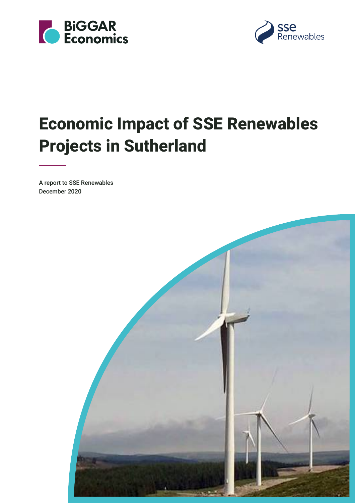



# **Economic Impact of SSE Renewables Projects in Sutherland**

A report to SSE Renewables December 2020

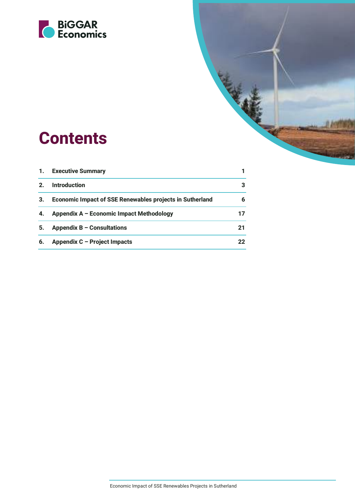

# **Contents**

| 1.             | <b>Executive Summary</b>                                        |    |
|----------------|-----------------------------------------------------------------|----|
| 2 <sub>1</sub> | <b>Introduction</b>                                             | 3  |
| 3.             | <b>Economic Impact of SSE Renewables projects in Sutherland</b> | 6  |
| 4.             | Appendix A - Economic Impact Methodology                        | 17 |
| 5.             | Appendix $B -$ Consultations                                    | 21 |
| 6.             | Appendix C - Project Impacts                                    | 22 |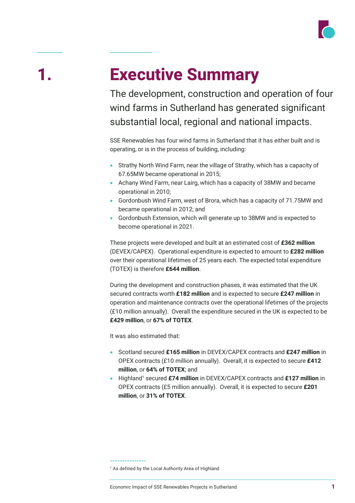

# **1. Executive Summary**

The development, construction and operation of four wind farms in Sutherland has generated significant substantial local, regional and national impacts.

SSE Renewables has four wind farms in Sutherland that it has either built and is operating, or is in the process of building, including:

- Strathy North Wind Farm, near the village of Strathy, which has a capacity of 67.65MW became operational in 2015;
- Achany Wind Farm, near Lairg, which has a capacity of 38MW and became operational in 2010;
- Gordonbush Wind Farm, west of Brora, which has a capacity of 71.75MW and became operational in 2012; and
- Gordonbush Extension, which will generate up to 38MW and is expected to become operational in 2021.

These projects were developed and built at an estimated cost of **£362 million** (DEVEX/CAPEX). Operational expenditure is expected to amount to **£282 million** over their operational lifetimes of 25 years each. The expected total expenditure (TOTEX) is therefore **£644 million**.

During the development and construction phases, it was estimated that the UK secured contracts worth **£182 million** and is expected to secure **£247 million** in operation and maintenance contracts over the operational lifetimes of the projects (£10 million annually). Overall the expenditure secured in the UK is expected to be **£429 million**, or **67% of TOTEX**.

It was also estimated that:

- Scotland secured **£165 million** in DEVEX/CAPEX contracts and **£247 million** in OPEX contracts (£10 million annually). Overall, it is expected to secure **£412 million**, or **64% of TOTEX**; and
- Highland1 secured **£74 million** in DEVEX/CAPEX contracts and **£127 million** in OPEX contracts (£5 million annually). Overall, it is expected to secure **£201 million**, or **31% of TOTEX**.

**<sup>---------------</sup>** <sup>1</sup> As defined by the Local Authority Area of Highland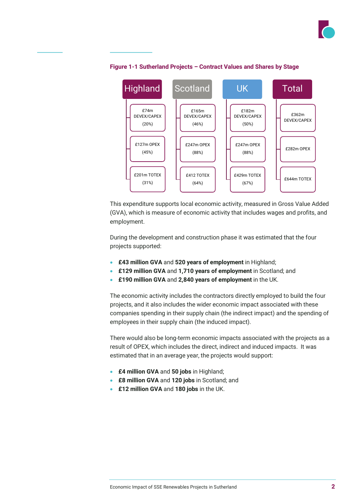



#### **Figure 1-1 Sutherland Projects – Contract Values and Shares by Stage**

This expenditure supports local economic activity, measured in Gross Value Added (GVA), which is measure of economic activity that includes wages and profits, and employment.

During the development and construction phase it was estimated that the four projects supported:

- **£43 million GVA** and **520 years of employment** in Highland;
- **£129 million GVA** and **1,710 years of employment** in Scotland; and
- **£190 million GVA** and **2,840 years of employment** in the UK.

The economic activity includes the contractors directly employed to build the four projects, and it also includes the wider economic impact associated with these companies spending in their supply chain (the indirect impact) and the spending of employees in their supply chain (the induced impact).

There would also be long-term economic impacts associated with the projects as a result of OPEX, which includes the direct, indirect and induced impacts. It was estimated that in an average year, the projects would support:

- **£4 million GVA** and **50 jobs** in Highland;
- **£8 million GVA** and **120 jobs** in Scotland; and
- **£12 million GVA** and **180 jobs** in the UK.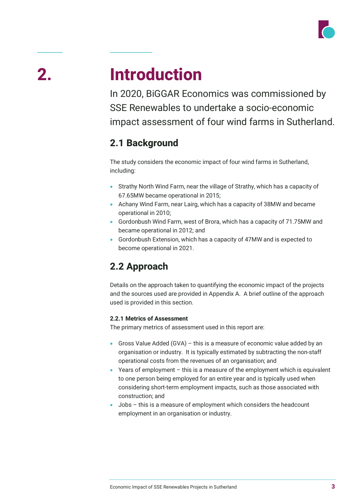

# **2. Introduction**

In 2020, BiGGAR Economics was commissioned by SSE Renewables to undertake a socio-economic impact assessment of four wind farms in Sutherland.

## **2.1 Background**

The study considers the economic impact of four wind farms in Sutherland, including:

- Strathy North Wind Farm, near the village of Strathy, which has a capacity of 67.65MW became operational in 2015;
- Achany Wind Farm, near Lairg, which has a capacity of 38MW and became operational in 2010;
- Gordonbush Wind Farm, west of Brora, which has a capacity of 71.75MW and became operational in 2012; and
- Gordonbush Extension, which has a capacity of 47MW and is expected to become operational in 2021.

## **2.2 Approach**

Details on the approach taken to quantifying the economic impact of the projects and the sources used are provided in Appendix A. A brief outline of the approach used is provided in this section.

## **2.2.1 Metrics of Assessment**

The primary metrics of assessment used in this report are:

- Gross Value Added (GVA) this is a measure of economic value added by an organisation or industry. It is typically estimated by subtracting the non-staff operational costs from the revenues of an organisation; and
- Years of employment this is a measure of the employment which is equivalent to one person being employed for an entire year and is typically used when considering short-term employment impacts, such as those associated with construction; and
- Jobs this is a measure of employment which considers the headcount employment in an organisation or industry.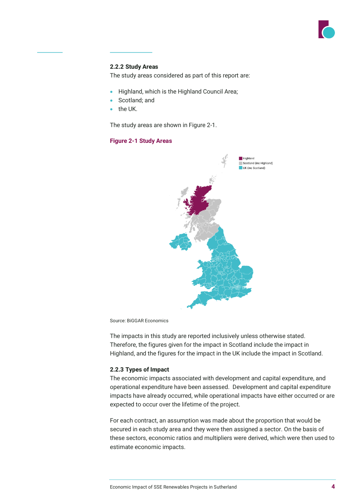

#### **2.2.2 Study Areas**

The study areas considered as part of this report are:

- Highland, which is the Highland Council Area;
- Scotland; and
- the UK.

The study areas are shown in Figure 2-1.

#### **Figure 2-1 Study Areas**



Source: BiGGAR Economics

The impacts in this study are reported inclusively unless otherwise stated. Therefore, the figures given for the impact in Scotland include the impact in Highland, and the figures for the impact in the UK include the impact in Scotland.

#### **2.2.3 Types of Impact**

The economic impacts associated with development and capital expenditure, and operational expenditure have been assessed. Development and capital expenditure impacts have already occurred, while operational impacts have either occurred or are expected to occur over the lifetime of the project.

For each contract, an assumption was made about the proportion that would be secured in each study area and they were then assigned a sector. On the basis of these sectors, economic ratios and multipliers were derived, which were then used to estimate economic impacts.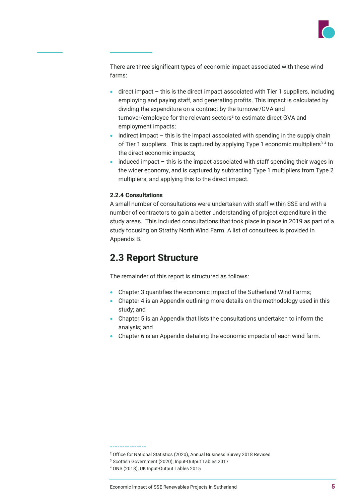

There are three significant types of economic impact associated with these wind farms:

- direct impact this is the direct impact associated with Tier 1 suppliers, including employing and paying staff, and generating profits. This impact is calculated by dividing the expenditure on a contract by the turnover/GVA and turnover/employee for the relevant sectors<sup>2</sup> to estimate direct GVA and employment impacts;
- $\bullet$  indirect impact this is the impact associated with spending in the supply chain of Tier 1 suppliers. This is captured by applying Type 1 economic multipliers<sup>34</sup> to the direct economic impacts;
- induced impact this is the impact associated with staff spending their wages in the wider economy, and is captured by subtracting Type 1 multipliers from Type 2 multipliers, and applying this to the direct impact.

### **2.2.4 Consultations**

A small number of consultations were undertaken with staff within SSE and with a number of contractors to gain a better understanding of project expenditure in the study areas. This included consultations that took place in place in 2019 as part of a study focusing on Strathy North Wind Farm. A list of consultees is provided in Appendix B.

## **2.3 Report Structure**

The remainder of this report is structured as follows:

- Chapter 3 quantifies the economic impact of the Sutherland Wind Farms;
- Chapter 4 is an Appendix outlining more details on the methodology used in this study; and
- Chapter 5 is an Appendix that lists the consultations undertaken to inform the analysis; and
- Chapter 6 is an Appendix detailing the economic impacts of each wind farm.

#### **---------------**

- <sup>2</sup> Office for National Statistics (2020), Annual Business Survey 2018 Revised
- <sup>3</sup> Scottish Government (2020), Input-Output Tables 2017
- <sup>4</sup> ONS (2018), UK Input-Output Tables 2015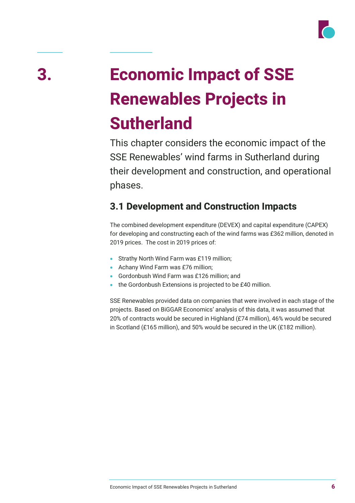

# **3. Economic Impact of SSE Renewables Projects in Sutherland**

This chapter considers the economic impact of the SSE Renewables' wind farms in Sutherland during their development and construction, and operational phases.

## **3.1 Development and Construction Impacts**

The combined development expenditure (DEVEX) and capital expenditure (CAPEX) for developing and constructing each of the wind farms was £362 million, denoted in 2019 prices. The cost in 2019 prices of:

- Strathy North Wind Farm was £119 million;
- Achany Wind Farm was £76 million;
- Gordonbush Wind Farm was £126 million; and
- the Gordonbush Extensions is projected to be £40 million.

SSE Renewables provided data on companies that were involved in each stage of the projects. Based on BiGGAR Economics' analysis of this data, it was assumed that 20% of contracts would be secured in Highland (£74 million), 46% would be secured in Scotland (£165 million), and 50% would be secured in the UK (£182 million).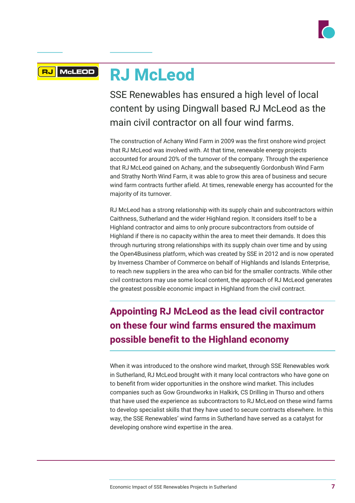

### **RJ McLeod RJ** McLEOD

SSE Renewables has ensured a high level of local content by using Dingwall based RJ McLeod as the main civil contractor on all four wind farms.

The construction of Achany Wind Farm in 2009 was the first onshore wind project that RJ McLeod was involved with. At that time, renewable energy projects accounted for around 20% of the turnover of the company. Through the experience that RJ McLeod gained on Achany, and the subsequently Gordonbush Wind Farm and Strathy North Wind Farm, it was able to grow this area of business and secure wind farm contracts further afield. At times, renewable energy has accounted for the majority of its turnover.

RJ McLeod has a strong relationship with its supply chain and subcontractors within Caithness, Sutherland and the wider Highland region. It considers itself to be a Highland contractor and aims to only procure subcontractors from outside of Highland if there is no capacity within the area to meet their demands. It does this through nurturing strong relationships with its supply chain over time and by using the Open4Business platform, which was created by SSE in 2012 and is now operated by Inverness Chamber of Commerce on behalf of Highlands and Islands Enterprise, to reach new suppliers in the area who can bid for the smaller contracts. While other civil contractors may use some local content, the approach of RJ McLeod generates the greatest possible economic impact in Highland from the civil contract.

# **Appointing RJ McLeod as the lead civil contractor on these four wind farms ensured the maximum possible benefit to the Highland economy**

When it was introduced to the onshore wind market, through SSE Renewables work in Sutherland, RJ McLeod brought with it many local contractors who have gone on to benefit from wider opportunities in the onshore wind market. This includes companies such as Gow Groundworks in Halkirk, CS Drilling in Thurso and others that have used the experience as subcontractors to RJ McLeod on these wind farms to develop specialist skills that they have used to secure contracts elsewhere. In this way, the SSE Renewables' wind farms in Sutherland have served as a catalyst for developing onshore wind expertise in the area.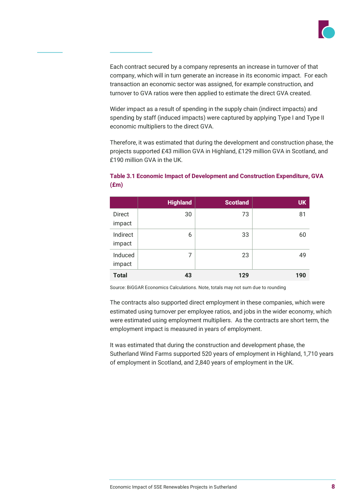

Each contract secured by a company represents an increase in turnover of that company, which will in turn generate an increase in its economic impact. For each transaction an economic sector was assigned, for example construction, and turnover to GVA ratios were then applied to estimate the direct GVA created.

Wider impact as a result of spending in the supply chain (indirect impacts) and spending by staff (induced impacts) were captured by applying Type I and Type II economic multipliers to the direct GVA.

Therefore, it was estimated that during the development and construction phase, the projects supported £43 million GVA in Highland, £129 million GVA in Scotland, and £190 million GVA in the UK.

|                         | <b>Highland</b> | <b>Scotland</b> | <b>UK</b> |
|-------------------------|-----------------|-----------------|-----------|
| <b>Direct</b><br>impact | 30              | 73              | 81        |
| Indirect<br>impact      | 6               | 33              | 60        |
| Induced<br>impact       | 7               | 23              | 49        |
| <b>Total</b>            | 43              | 129             | 190       |

### **Table 3.1 Economic Impact of Development and Construction Expenditure, GVA (£m)**

Source: BiGGAR Economics Calculations. Note, totals may not sum due to rounding

The contracts also supported direct employment in these companies, which were estimated using turnover per employee ratios, and jobs in the wider economy, which were estimated using employment multipliers. As the contracts are short term, the employment impact is measured in years of employment.

It was estimated that during the construction and development phase, the Sutherland Wind Farms supported 520 years of employment in Highland, 1,710 years of employment in Scotland, and 2,840 years of employment in the UK.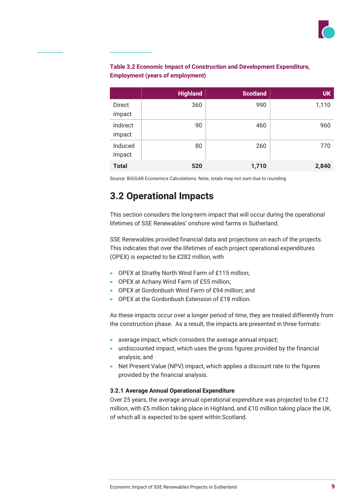

|                    | <b>Highland</b> | <b>Scotland</b> | <b>UK</b> |
|--------------------|-----------------|-----------------|-----------|
| Direct<br>impact   | 360             | 990             | 1,110     |
| Indirect<br>impact | 90              | 460             | 960       |
| Induced<br>impact  | 80              | 260             | 770       |
| <b>Total</b>       | 520             | 1,710           | 2,840     |

### **Table 3.2 Economic Impact of Construction and Development Expenditure, Employment (years of employment)**

Source: BiGGAR Economics Calculations. Note, totals may not sum due to rounding

## **3.2 Operational Impacts**

This section considers the long-term impact that will occur during the operational lifetimes of SSE Renewables' onshore wind farms in Sutherland.

SSE Renewables provided financial data and projections on each of the projects. This indicates that over the lifetimes of each project operational expenditures (OPEX) is expected to be £282 million, with

- OPEX at Strathy North Wind Farm of £115 million;
- OPEX at Achany Wind Farm of £55 million;
- OPEX at Gordonbush Wind Farm of £94 million; and
- OPEX at the Gordonbush Extension of £18 million.

As these impacts occur over a longer period of time, they are treated differently from the construction phase. As a result, the impacts are presented in three formats:

- average impact, which considers the average annual impact;
- undiscounted impact, which uses the gross figures provided by the financial analysis; and
- Net Present Value (NPV) impact, which applies a discount rate to the figures provided by the financial analysis.

### **3.2.1 Average Annual Operational Expenditure**

Over 25 years, the average annual operational expenditure was projected to be £12 million, with £5 million taking place in Highland, and £10 million taking place the UK, of which all is expected to be spent within Scotland.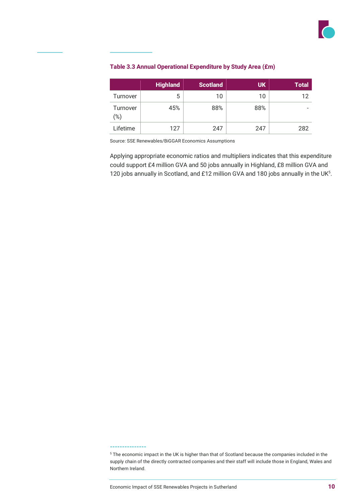

### **Table 3.3 Annual Operational Expenditure by Study Area (£m)**

|                 | <b>Highland</b> | <b>Scotland</b> | <b>UK</b> | <b>Total</b> |
|-----------------|-----------------|-----------------|-----------|--------------|
| Turnover        | 5               | 10              | 10        | 12           |
| Turnover<br>(%) | 45%             | 88%             | 88%       |              |
| Lifetime        | 127             | 247             | 247       | 282          |

Source: SSE Renewables/BiGGAR Economics Assumptions

Applying appropriate economic ratios and multipliers indicates that this expenditure could support £4 million GVA and 50 jobs annually in Highland, £8 million GVA and 120 jobs annually in Scotland, and £12 million GVA and 180 jobs annually in the UK $^5$ .

#### **---------------**

<sup>&</sup>lt;sup>5</sup> The economic impact in the UK is higher than that of Scotland because the companies included in the supply chain of the directly contracted companies and their staff will include those in England, Wales and Northern Ireland.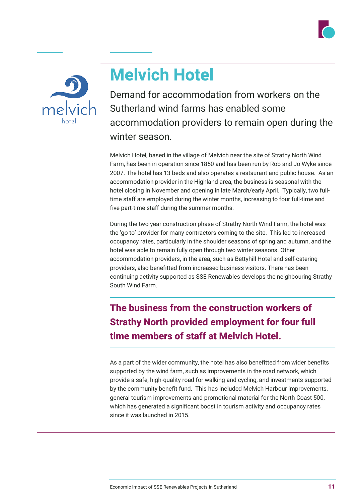



# **Melvich Hotel**

Demand for accommodation from workers on the Sutherland wind farms has enabled some accommodation providers to remain open during the winter season.

Melvich Hotel, based in the village of Melvich near the site of Strathy North Wind Farm, has been in operation since 1850 and has been run by Rob and Jo Wyke since 2007. The hotel has 13 beds and also operates a restaurant and public house. As an accommodation provider in the Highland area, the business is seasonal with the hotel closing in November and opening in late March/early April. Typically, two fulltime staff are employed during the winter months, increasing to four full-time and five part-time staff during the summer months.

During the two year construction phase of Strathy North Wind Farm, the hotel was the 'go to' provider for many contractors coming to the site. This led to increased occupancy rates, particularly in the shoulder seasons of spring and autumn, and the hotel was able to remain fully open through two winter seasons. Other accommodation providers, in the area, such as Bettyhill Hotel and self-catering providers, also benefitted from increased business visitors. There has been continuing activity supported as SSE Renewables develops the neighbouring Strathy South Wind Farm.

**The business from the construction workers of Strathy North provided employment for four full time members of staff at Melvich Hotel.** 

As a part of the wider community, the hotel has also benefitted from wider benefits supported by the wind farm, such as improvements in the road network, which provide a safe, high-quality road for walking and cycling, and investments supported by the community benefit fund. This has included Melvich Harbour improvements, general tourism improvements and promotional material for the North Coast 500, which has generated a significant boost in tourism activity and occupancy rates since it was launched in 2015.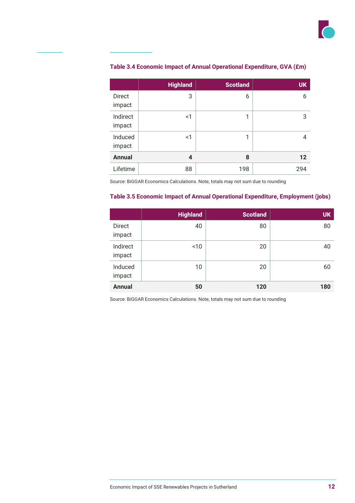

|                    | <b>Highland</b> | <b>Scotland</b> | <b>UK</b> |
|--------------------|-----------------|-----------------|-----------|
| Direct<br>impact   | 3               | 6               | 6         |
| Indirect<br>impact | <1              | 1               | 3         |
| Induced<br>impact  | <1              | 1               | 4         |
| <b>Annual</b>      | 4               | 8               | 12        |
| Lifetime           | 88              | 198             | 294       |

### **Table 3.4 Economic Impact of Annual Operational Expenditure, GVA (£m)**

Source: BiGGAR Economics Calculations. Note, totals may not sum due to rounding

#### **Table 3.5 Economic Impact of Annual Operational Expenditure, Employment (jobs)**

|                    | <b>Highland</b> | <b>Scotland</b> | <b>UK</b> |
|--------------------|-----------------|-----------------|-----------|
| Direct<br>impact   | 40              | 80              | 80        |
| Indirect<br>impact | ~10             | 20              | 40        |
| Induced<br>impact  | 10              | 20              | 60        |
| <b>Annual</b>      | 50              | 120             | 180       |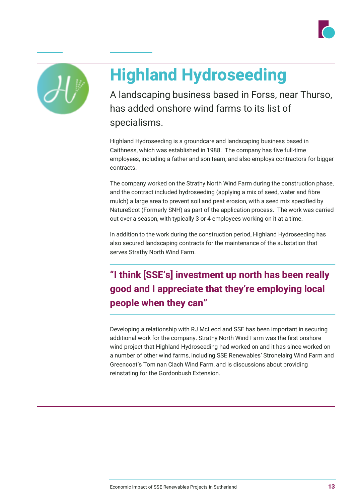



# **Highland Hydroseeding**

A landscaping business based in Forss, near Thurso, has added onshore wind farms to its list of specialisms.

Highland Hydroseeding is a groundcare and landscaping business based in Caithness, which was established in 1988. The company has five full-time employees, including a father and son team, and also employs contractors for bigger contracts.

The company worked on the Strathy North Wind Farm during the construction phase, and the contract included hydroseeding (applying a mix of seed, water and fibre mulch) a large area to prevent soil and peat erosion, with a seed mix specified by NatureScot (Formerly SNH) as part of the application process. The work was carried out over a season, with typically 3 or 4 employees working on it at a time.

In addition to the work during the construction period, Highland Hydroseeding has also secured landscaping contracts for the maintenance of the substation that serves Strathy North Wind Farm.

# **"I think [SSE's] investment up north has been really good and I appreciate that they're employing local people when they can"**

Developing a relationship with RJ McLeod and SSE has been important in securing additional work for the company. Strathy North Wind Farm was the first onshore wind project that Highland Hydroseeding had worked on and it has since worked on a number of other wind farms, including SSE Renewables' Stronelairg Wind Farm and Greencoat's Tom nan Clach Wind Farm, and is discussions about providing reinstating for the Gordonbush Extension.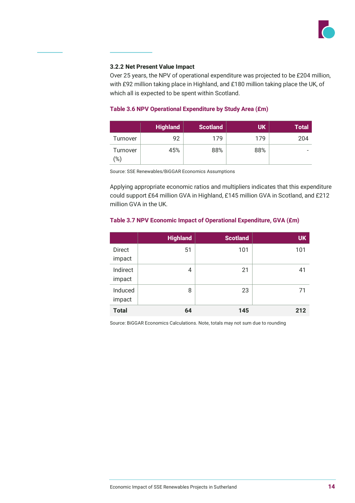

#### **3.2.2 Net Present Value Impact**

Over 25 years, the NPV of operational expenditure was projected to be £204 million, with £92 million taking place in Highland, and £180 million taking place the UK, of which all is expected to be spent within Scotland.

#### **Table 3.6 NPV Operational Expenditure by Study Area (£m)**

|                     | <b>Highland</b> | <b>Scotland</b> | UK  | <b>Total</b> |
|---------------------|-----------------|-----------------|-----|--------------|
| Turnover            | 92              | 179             | 179 | 204          |
| Turnover<br>$(\% )$ | 45%             | 88%             | 88% |              |

Source: SSE Renewables/BiGGAR Economics Assumptions

Applying appropriate economic ratios and multipliers indicates that this expenditure could support £64 million GVA in Highland, £145 million GVA in Scotland, and £212 million GVA in the UK.

#### **Table 3.7 NPV Economic Impact of Operational Expenditure, GVA (£m)**

|                    | <b>Highland</b> | <b>Scotland</b> | <b>UK</b> |
|--------------------|-----------------|-----------------|-----------|
| Direct<br>impact   | 51              | 101             | 101       |
| Indirect<br>impact | 4               | 21              | 41        |
| Induced<br>impact  | 8               | 23              | 71        |
| <b>Total</b>       | 64              | 145             | 212       |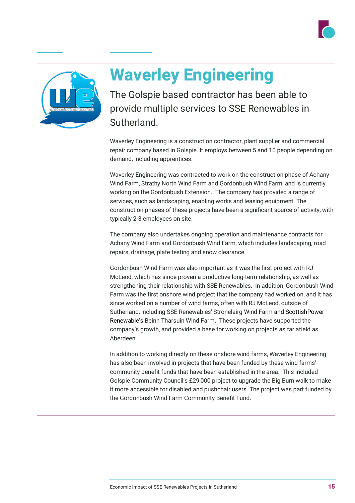



# **Waverley Engineering**

The Golspie based contractor has been able to provide multiple services to SSE Renewables in **Sutherland** 

Waverley Engineering is a construction contractor, plant supplier and commercial repair company based in Golspie. It employs between 5 and 10 people depending on demand, including apprentices.

Waverley Engineering was contracted to work on the construction phase of Achany Wind Farm, Strathy North Wind Farm and Gordonbush Wind Farm, and is currently working on the Gordonbush Extension. The company has provided a range of services, such as landscaping, enabling works and leasing equipment. The construction phases of these projects have been a significant source of activity, with typically 2-3 employees on site.

The company also undertakes ongoing operation and maintenance contracts for Achany Wind Farm and Gordonbush Wind Farm, which includes landscaping, road repairs, drainage, plate testing and snow clearance.

Gordonbush Wind Farm was also important as it was the first project with RJ McLeod, which has since proven a productive long-term relationship, as well as strengthening their relationship with SSE Renewables. In addition, Gordonbush Wind Farm was the first onshore wind project that the company had worked on, and it has since worked on a number of wind farms, often with RJ McLeod, outside of Sutherland, including SSE Renewables' Stronelairg Wind Farm and ScottishPower Renewable's Beinn Tharsuin Wind Farm. These projects have supported the company's growth, and provided a base for working on projects as far afield as Aberdeen.

In addition to working directly on these onshore wind farms, Waverley Engineering has also been involved in projects that have been funded by these wind farms' community benefit funds that have been established in the area. This included Golspie Community Council's £29,000 project to upgrade the Big Burn walk to make it more accessible for disabled and pushchair users. The project was part funded by the Gordonbush Wind Farm Community Benefit Fund.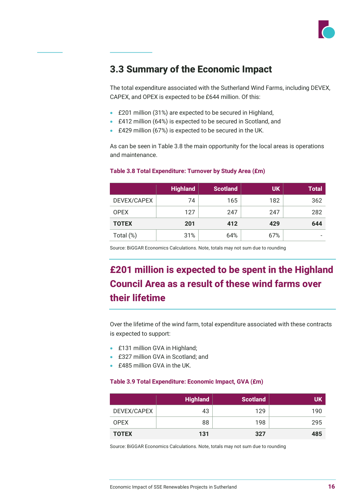

## **3.3 Summary of the Economic Impact**

The total expenditure associated with the Sutherland Wind Farms, including DEVEX, CAPEX, and OPEX is expected to be £644 million. Of this:

- £201 million (31%) are expected to be secured in Highland,
- £412 million (64%) is expected to be secured in Scotland, and
- £429 million (67%) is expected to be secured in the UK.

As can be seen in Table 3.8 the main opportunity for the local areas is operations and maintenance.

|              | <b>Highland</b> | <b>Scotland</b> | <b>UK</b> | <b>Total</b> |
|--------------|-----------------|-----------------|-----------|--------------|
| DEVEX/CAPEX  | 74              | 165             | 182       | 362          |
| <b>OPEX</b>  | 127             | 247             | 247       | 282          |
| <b>TOTEX</b> | 201             | 412             | 429       | 644          |
| Total (%)    | 31%             | 64%             | 67%       |              |

#### **Table 3.8 Total Expenditure: Turnover by Study Area (£m)**

Source: BiGGAR Economics Calculations. Note, totals may not sum due to rounding

# **£201 million is expected to be spent in the Highland Council Area as a result of these wind farms over their lifetime**

Over the lifetime of the wind farm, total expenditure associated with these contracts is expected to support:

- £131 million GVA in Highland;
- £327 million GVA in Scotland; and
- £485 million GVA in the UK.

#### **Table 3.9 Total Expenditure: Economic Impact, GVA (£m)**

|              | <b>Highland</b> | <b>Scotland</b> | UK  |
|--------------|-----------------|-----------------|-----|
| DEVEX/CAPEX  | 43              | 129             | 190 |
| <b>OPEX</b>  | 88              | 198             | 295 |
| <b>TOTEX</b> | 131             | 327             | 485 |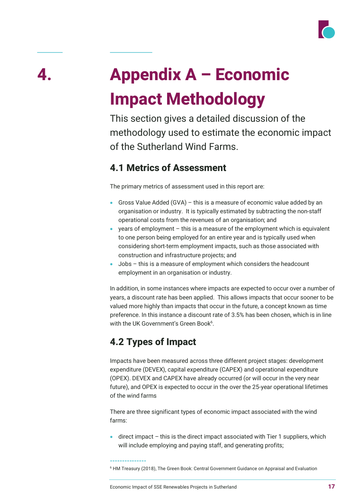

# **4. Appendix A – Economic Impact Methodology**

This section gives a detailed discussion of the methodology used to estimate the economic impact of the Sutherland Wind Farms.

## **4.1 Metrics of Assessment**

The primary metrics of assessment used in this report are:

- Gross Value Added (GVA) this is a measure of economic value added by an organisation or industry. It is typically estimated by subtracting the non-staff operational costs from the revenues of an organisation; and
- years of employment this is a measure of the employment which is equivalent to one person being employed for an entire year and is typically used when considering short-term employment impacts, such as those associated with construction and infrastructure projects; and
- Jobs this is a measure of employment which considers the headcount employment in an organisation or industry.

In addition, in some instances where impacts are expected to occur over a number of years, a discount rate has been applied. This allows impacts that occur sooner to be valued more highly than impacts that occur in the future, a concept known as time preference. In this instance a discount rate of 3.5% has been chosen, which is in line with the UK Government's Green Book $^6$ .

# **4.2 Types of Impact**

**---------------**

Impacts have been measured across three different project stages: development expenditure (DEVEX), capital expenditure (CAPEX) and operational expenditure (OPEX). DEVEX and CAPEX have already occurred (or will occur in the very near future), and OPEX is expected to occur in the over the 25-year operational lifetimes of the wind farms

There are three significant types of economic impact associated with the wind farms:

 $\bullet$  direct impact – this is the direct impact associated with Tier 1 suppliers, which will include employing and paying staff, and generating profits;

<sup>&</sup>lt;sup>6</sup> HM Treasury (2018), The Green Book: Central Government Guidance on Appraisal and Evaluation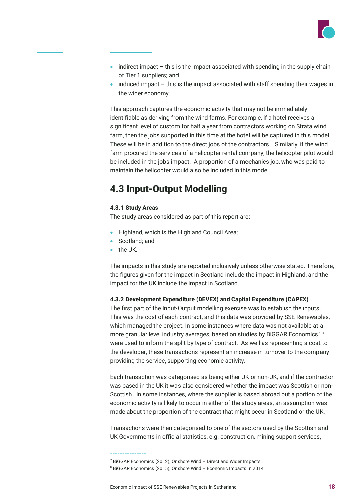

- indirect impact  $-$  this is the impact associated with spending in the supply chain of Tier 1 suppliers; and
- induced impact this is the impact associated with staff spending their wages in the wider economy.

This approach captures the economic activity that may not be immediately identifiable as deriving from the wind farms. For example, if a hotel receives a significant level of custom for half a year from contractors working on Strata wind farm, then the jobs supported in this time at the hotel will be captured in this model. These will be in addition to the direct jobs of the contractors. Similarly, if the wind farm procured the services of a helicopter rental company, the helicopter pilot would be included in the jobs impact. A proportion of a mechanics job, who was paid to maintain the helicopter would also be included in this model.

## **4.3 Input-Output Modelling**

#### **4.3.1 Study Areas**

The study areas considered as part of this report are:

- Highland, which is the Highland Council Area;
- Scotland; and
- the UK.

The impacts in this study are reported inclusively unless otherwise stated. Therefore, the figures given for the impact in Scotland include the impact in Highland, and the impact for the UK include the impact in Scotland.

### **4.3.2 Development Expenditure (DEVEX) and Capital Expenditure (CAPEX)**

The first part of the Input-Output modelling exercise was to establish the inputs. This was the cost of each contract, and this data was provided by SSE Renewables, which managed the project. In some instances where data was not available at a more granular level industry averages, based on studies by BiGGAR Economics<sup>78</sup> were used to inform the split by type of contract. As well as representing a cost to the developer, these transactions represent an increase in turnover to the company providing the service, supporting economic activity.

Each transaction was categorised as being either UK or non-UK, and if the contractor was based in the UK it was also considered whether the impact was Scottish or non-Scottish. In some instances, where the supplier is based abroad but a portion of the economic activity is likely to occur in either of the study areas, an assumption was made about the proportion of the contract that might occur in Scotland or the UK.

Transactions were then categorised to one of the sectors used by the Scottish and UK Governments in official statistics, e.g. construction, mining support services,

#### **---------------**

<sup>7</sup> BiGGAR Economics (2012), Onshore Wind – Direct and Wider Impacts

<sup>8</sup> BiGGAR Economics (2015), Onshore Wind – Economic Impacts in 2014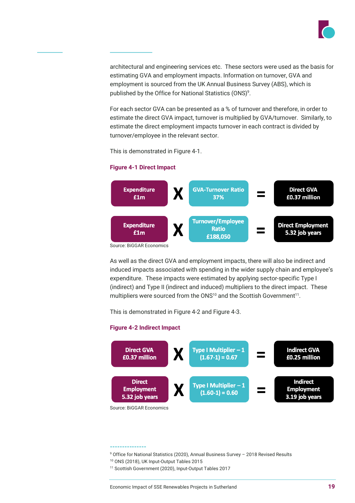

architectural and engineering services etc. These sectors were used as the basis for estimating GVA and employment impacts. Information on turnover, GVA and employment is sourced from the UK Annual Business Survey (ABS), which is published by the Office for National Statistics (ONS)<sup>9</sup>.

For each sector GVA can be presented as a % of turnover and therefore, in order to estimate the direct GVA impact, turnover is multiplied by GVA/turnover. Similarly, to estimate the direct employment impacts turnover in each contract is divided by turnover/employee in the relevant sector.

This is demonstrated in Figure 4-1.

#### **Figure 4-1 Direct Impact**



As well as the direct GVA and employment impacts, there will also be indirect and induced impacts associated with spending in the wider supply chain and employee's expenditure. These impacts were estimated by applying sector-specific Type I (indirect) and Type II (indirect and induced) multipliers to the direct impact. These multipliers were sourced from the ONS<sup>10</sup> and the Scottish Government<sup>11</sup>.

This is demonstrated in Figure 4-2 and Figure 4-3.

#### **Figure 4-2 Indirect Impact**



#### **---------------**

- $9$  Office for National Statistics (2020), Annual Business Survey 2018 Revised Results
- <sup>10</sup> ONS (2018), UK Input-Output Tables 2015
- <sup>11</sup> Scottish Government (2020), Input-Output Tables 2017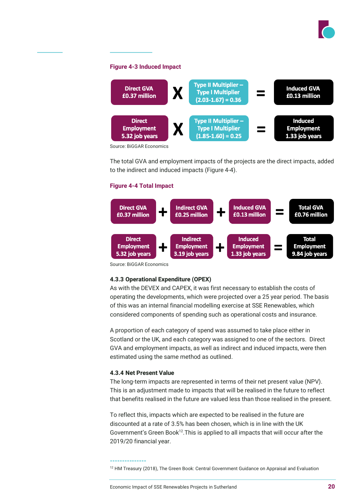

#### **Figure 4-3 Induced Impact**



The total GVA and employment impacts of the projects are the direct impacts, added to the indirect and induced impacts (Figure 4-4).

#### **Figure 4-4 Total Impact**



Source: BiGGAR Economics

### **4.3.3 Operational Expenditure (OPEX)**

As with the DEVEX and CAPEX, it was first necessary to establish the costs of operating the developments, which were projected over a 25 year period. The basis of this was an internal financial modelling exercise at SSE Renewables, which considered components of spending such as operational costs and insurance.

A proportion of each category of spend was assumed to take place either in Scotland or the UK, and each category was assigned to one of the sectors. Direct GVA and employment impacts, as well as indirect and induced impacts, were then estimated using the same method as outlined.

#### **4.3.4 Net Present Value**

**---------------**

The long-term impacts are represented in terms of their net present value (NPV). This is an adjustment made to impacts that will be realised in the future to reflect that benefits realised in the future are valued less than those realised in the present.

To reflect this, impacts which are expected to be realised in the future are discounted at a rate of 3.5% has been chosen, which is in line with the UK Government's Green Book<sup>12</sup>. This is applied to all impacts that will occur after the 2019/20 financial year.

<sup>12</sup> HM Treasury (2018), The Green Book: Central Government Guidance on Appraisal and Evaluation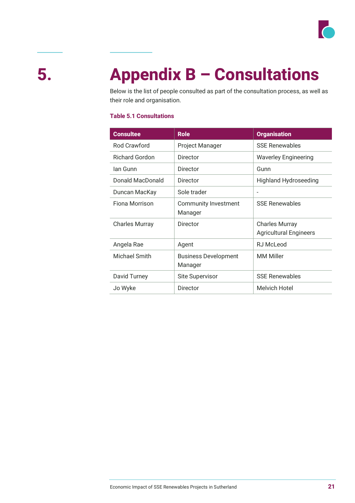

# **5. Appendix B – Consultations**

Below is the list of people consulted as part of the consultation process, as well as their role and organisation.

### **Table 5.1 Consultations**

| <b>Consultee</b>      | <b>Role</b>                            | <b>Organisation</b>                                    |
|-----------------------|----------------------------------------|--------------------------------------------------------|
| <b>Rod Crawford</b>   | Project Manager                        | <b>SSF Renewables</b>                                  |
| <b>Richard Gordon</b> | Director                               | <b>Waverley Engineering</b>                            |
| lan Gunn              | Director                               | Gunn                                                   |
| Donald MacDonald      | Director                               | <b>Highland Hydroseeding</b>                           |
| Duncan MacKay         | Sole trader                            |                                                        |
| Fiona Morrison        | Community Investment<br>Manager        | <b>SSF Renewables</b>                                  |
| <b>Charles Murray</b> | Director                               | <b>Charles Murray</b><br><b>Agricultural Engineers</b> |
| Angela Rae            | Agent                                  | RJ McLeod                                              |
| Michael Smith         | <b>Business Development</b><br>Manager | <b>MM Miller</b>                                       |
| David Turney          | Site Supervisor                        | <b>SSE Renewables</b>                                  |
| Jo Wyke               | Director                               | <b>Melvich Hotel</b>                                   |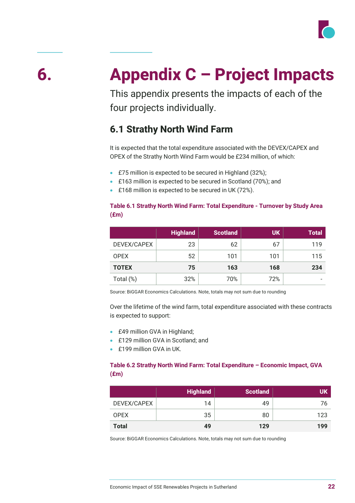

# **6. Appendix C – Project Impacts**

This appendix presents the impacts of each of the four projects individually.

## **6.1 Strathy North Wind Farm**

It is expected that the total expenditure associated with the DEVEX/CAPEX and OPEX of the Strathy North Wind Farm would be £234 million, of which:

- £75 million is expected to be secured in Highland (32%);
- £163 million is expected to be secured in Scotland (70%); and
- £168 million is expected to be secured in UK (72%).

### **Table 6.1 Strathy North Wind Farm: Total Expenditure - Turnover by Study Area (£m)**

|              | <b>Highland</b> | <b>Scotland</b> | <b>UK</b> | <b>Total</b> |
|--------------|-----------------|-----------------|-----------|--------------|
| DEVEX/CAPEX  | 23              | 62              | 67        | 119          |
| <b>OPEX</b>  | 52              | 101             | 101       | 115          |
| <b>TOTEX</b> | 75              | 163             | 168       | 234          |
| Total (%)    | 32%             | 70%             | 72%       |              |

Source: BiGGAR Economics Calculations. Note, totals may not sum due to rounding

Over the lifetime of the wind farm, total expenditure associated with these contracts is expected to support:

- £49 million GVA in Highland;
- £129 million GVA in Scotland: and
- £199 million GVA in UK.

## **Table 6.2 Strathy North Wind Farm: Total Expenditure – Economic Impact, GVA (£m)**

|              | <b>Highland</b> | <b>Scotland</b> | UK  |
|--------------|-----------------|-----------------|-----|
| DEVEX/CAPEX  | 14              | 49              | 76  |
| <b>OPEX</b>  | 35              | 80              | 123 |
| <b>Total</b> | 49              | 129             | 199 |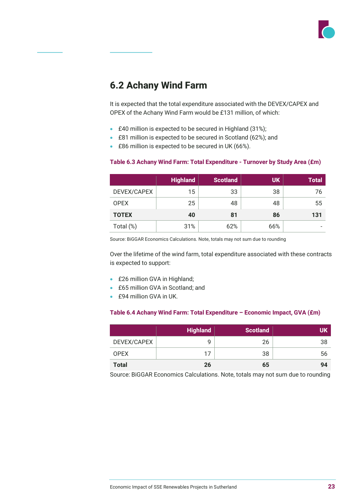

## **6.2 Achany Wind Farm**

It is expected that the total expenditure associated with the DEVEX/CAPEX and OPEX of the Achany Wind Farm would be £131 million, of which:

- £40 million is expected to be secured in Highland (31%);
- £81 million is expected to be secured in Scotland (62%); and
- £86 million is expected to be secured in UK (66%).

|              | <b>Highland</b> | <b>Scotland</b> | <b>UK</b> | <b>Total</b> |
|--------------|-----------------|-----------------|-----------|--------------|
| DEVEX/CAPEX  | 15              | 33              | 38        | 76           |
| <b>OPEX</b>  | 25              | 48              | 48        | 55           |
| <b>TOTEX</b> | 40              | 81              | 86        | 131          |
| Total (%)    | 31%             | 62%             | 66%       |              |

#### **Table 6.3 Achany Wind Farm: Total Expenditure - Turnover by Study Area (£m)**

Source: BiGGAR Economics Calculations. Note, totals may not sum due to rounding

Over the lifetime of the wind farm, total expenditure associated with these contracts is expected to support:

- £26 million GVA in Highland;
- £65 million GVA in Scotland; and
- £94 million GVA in UK.

#### **Table 6.4 Achany Wind Farm: Total Expenditure – Economic Impact, GVA (£m)**

|              | <b>Highland</b> | <b>Scotland</b> | UK |
|--------------|-----------------|-----------------|----|
| DEVEX/CAPEX  | q               | 26              | 38 |
| <b>OPEX</b>  | 17              | 38              | 56 |
| <b>Total</b> | 26              | 65              | 94 |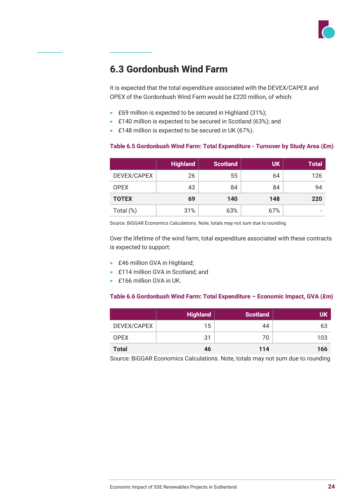

## **6.3 Gordonbush Wind Farm**

It is expected that the total expenditure associated with the DEVEX/CAPEX and OPEX of the Gordonbush Wind Farm would be £220 million, of which:

- £69 million is expected to be secured in Highland (31%);
- £140 million is expected to be secured in Scotland (63%); and
- £148 million is expected to be secured in UK (67%).

#### **Table 6.5 Gordonbush Wind Farm: Total Expenditure - Turnover by Study Area (£m)**

|              | <b>Highland</b> | <b>Scotland</b> | <b>UK</b> | <b>Total</b> |
|--------------|-----------------|-----------------|-----------|--------------|
| DEVEX/CAPEX  | 26              | 55              | 64        | 126          |
| <b>OPEX</b>  | 43              | 84              | 84        | 94           |
| <b>TOTEX</b> | 69              | 140             | 148       | 220          |
| Total (%)    | 31%             | 63%             | 67%       |              |

Source: BiGGAR Economics Calculations. Note, totals may not sum due to rounding

Over the lifetime of the wind farm, total expenditure associated with these contracts is expected to support:

- £46 million GVA in Highland;
- £114 million GVA in Scotland: and
- £166 million GVA in UK

#### **Table 6.6 Gordonbush Wind Farm: Total Expenditure – Economic Impact, GVA (£m)**

|              | <b>Highland</b> | <b>Scotland</b> | <b>UK</b> |
|--------------|-----------------|-----------------|-----------|
| DEVEX/CAPEX  | 15              | 44              | 63        |
| <b>OPEX</b>  | 31              | 70              | 103       |
| <b>Total</b> | 46              | 114             | 166       |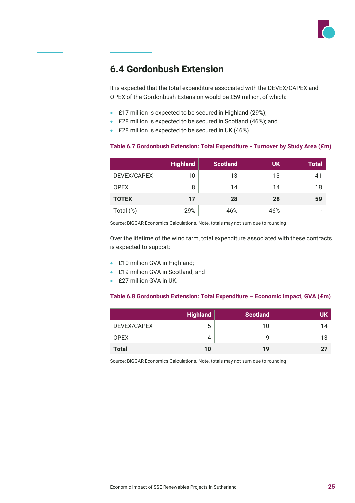

## **6.4 Gordonbush Extension**

It is expected that the total expenditure associated with the DEVEX/CAPEX and OPEX of the Gordonbush Extension would be £59 million, of which:

- £17 million is expected to be secured in Highland (29%);
- £28 million is expected to be secured in Scotland (46%); and
- £28 million is expected to be secured in UK (46%).

#### **Table 6.7 Gordonbush Extension: Total Expenditure - Turnover by Study Area (£m)**

|              | <b>Highland</b> | <b>Scotland</b> | <b>UK</b> | <b>Total</b> |
|--------------|-----------------|-----------------|-----------|--------------|
| DEVEX/CAPEX  | 10              | 13              | 13        | 41           |
| <b>OPEX</b>  | 8               | 14              | 14        | 18           |
| <b>TOTEX</b> | 17              | 28              | 28        | 59           |
| Total (%)    | 29%             | 46%             | 46%       |              |

Source: BiGGAR Economics Calculations. Note, totals may not sum due to rounding

Over the lifetime of the wind farm, total expenditure associated with these contracts is expected to support:

- £10 million GVA in Highland;
- £19 million GVA in Scotland: and
- **£27 million GVA in UK**

#### **Table 6.8 Gordonbush Extension: Total Expenditure – Economic Impact, GVA (£m)**

|              | <b>Highland</b> | <b>Scotland</b> | <b>UK</b> |
|--------------|-----------------|-----------------|-----------|
| DEVEX/CAPEX  | ა               | 10              | 14        |
| <b>OPEX</b>  |                 | g               | 12        |
| <b>Total</b> | 10              | 19              |           |